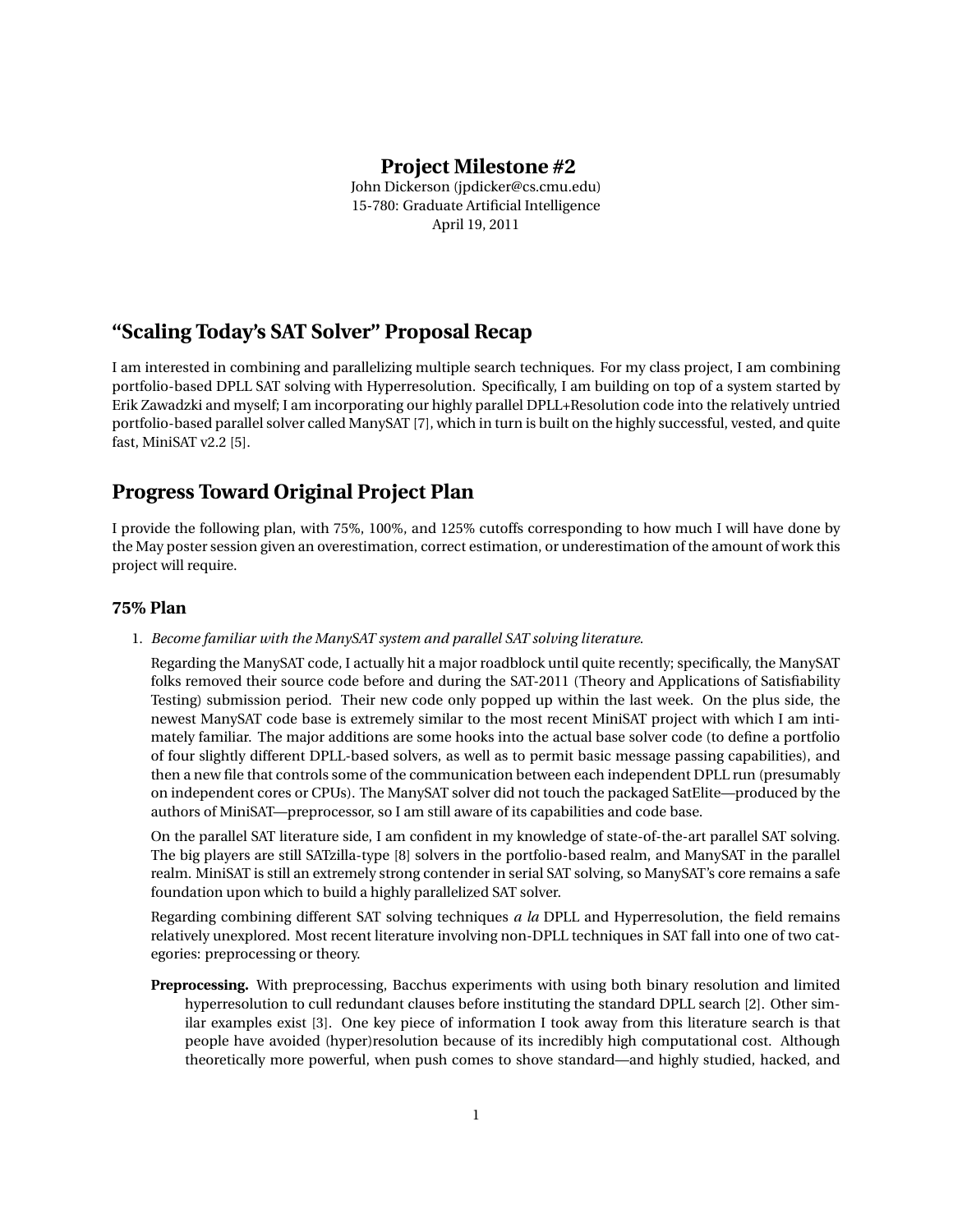### **Project Milestone #2**

John Dickerson (jpdicker@cs.cmu.edu) 15-780: Graduate Artificial Intelligence April 19, 2011

# **"Scaling Today's SAT Solver" Proposal Recap**

I am interested in combining and parallelizing multiple search techniques. For my class project, I am combining portfolio-based DPLL SAT solving with Hyperresolution. Specifically, I am building on top of a system started by Erik Zawadzki and myself; I am incorporating our highly parallel DPLL+Resolution code into the relatively untried portfolio-based parallel solver called ManySAT [7], which in turn is built on the highly successful, vested, and quite fast, MiniSAT v2.2 [5].

## **Progress Toward Original Project Plan**

I provide the following plan, with 75%, 100%, and 125% cutoffs corresponding to how much I will have done by the May poster session given an overestimation, correct estimation, or underestimation of the amount of work this project will require.

### **75% Plan**

1. *Become familiar with the ManySAT system and parallel SAT solving literature.*

Regarding the ManySAT code, I actually hit a major roadblock until quite recently; specifically, the ManySAT folks removed their source code before and during the SAT-2011 (Theory and Applications of Satisfiability Testing) submission period. Their new code only popped up within the last week. On the plus side, the newest ManySAT code base is extremely similar to the most recent MiniSAT project with which I am intimately familiar. The major additions are some hooks into the actual base solver code (to define a portfolio of four slightly different DPLL-based solvers, as well as to permit basic message passing capabilities), and then a new file that controls some of the communication between each independent DPLL run (presumably on independent cores or CPUs). The ManySAT solver did not touch the packaged SatElite—produced by the authors of MiniSAT—preprocessor, so I am still aware of its capabilities and code base.

On the parallel SAT literature side, I am confident in my knowledge of state-of-the-art parallel SAT solving. The big players are still SATzilla-type [8] solvers in the portfolio-based realm, and ManySAT in the parallel realm. MiniSAT is still an extremely strong contender in serial SAT solving, so ManySAT's core remains a safe foundation upon which to build a highly parallelized SAT solver.

Regarding combining different SAT solving techniques *a la* DPLL and Hyperresolution, the field remains relatively unexplored. Most recent literature involving non-DPLL techniques in SAT fall into one of two categories: preprocessing or theory.

**Preprocessing.** With preprocessing, Bacchus experiments with using both binary resolution and limited hyperresolution to cull redundant clauses before instituting the standard DPLL search [2]. Other similar examples exist [3]. One key piece of information I took away from this literature search is that people have avoided (hyper)resolution because of its incredibly high computational cost. Although theoretically more powerful, when push comes to shove standard—and highly studied, hacked, and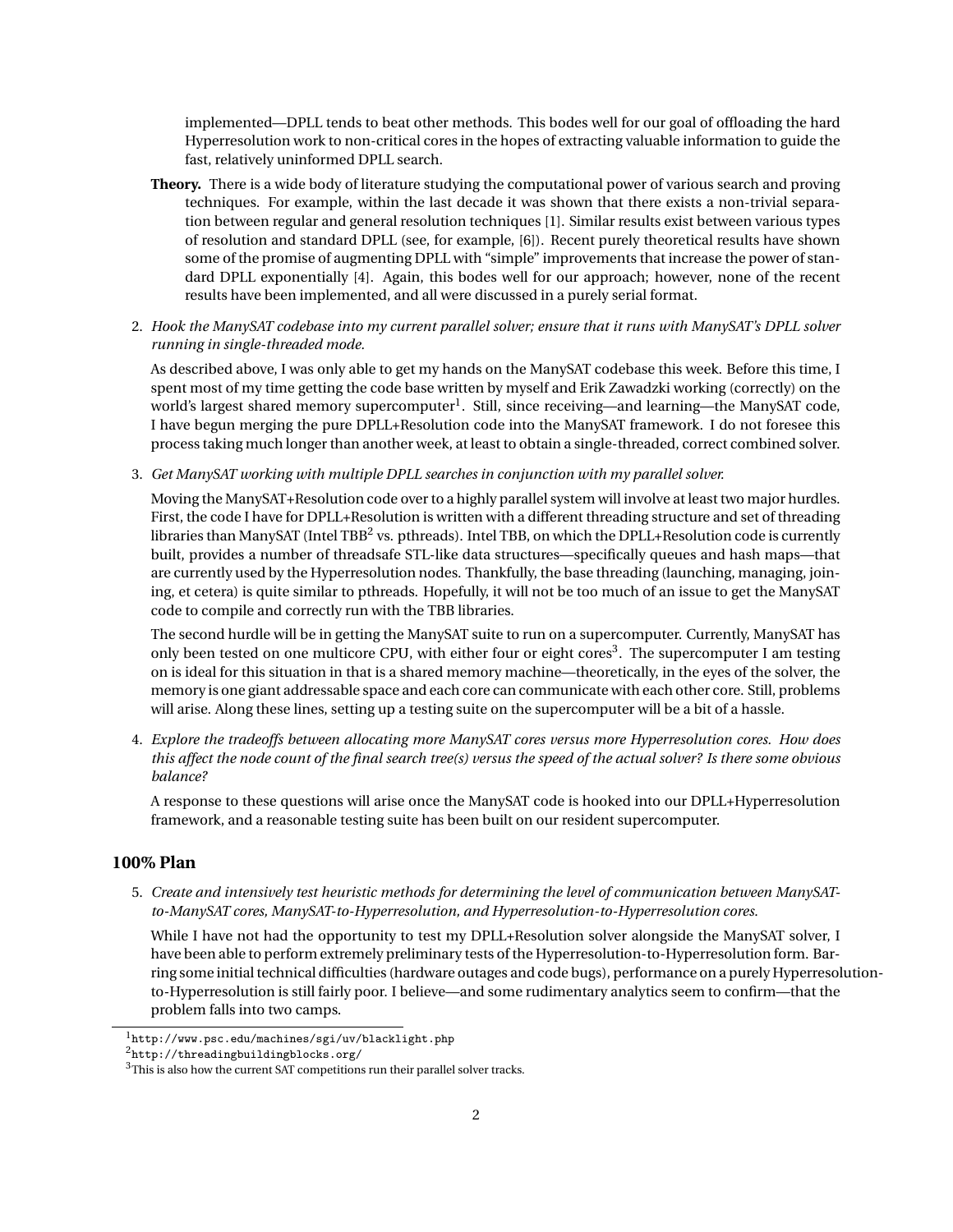implemented—DPLL tends to beat other methods. This bodes well for our goal of offloading the hard Hyperresolution work to non-critical cores in the hopes of extracting valuable information to guide the fast, relatively uninformed DPLL search.

- **Theory.** There is a wide body of literature studying the computational power of various search and proving techniques. For example, within the last decade it was shown that there exists a non-trivial separation between regular and general resolution techniques [1]. Similar results exist between various types of resolution and standard DPLL (see, for example, [6]). Recent purely theoretical results have shown some of the promise of augmenting DPLL with "simple" improvements that increase the power of standard DPLL exponentially [4]. Again, this bodes well for our approach; however, none of the recent results have been implemented, and all were discussed in a purely serial format.
- 2. *Hook the ManySAT codebase into my current parallel solver; ensure that it runs with ManySAT's DPLL solver running in single-threaded mode.*

As described above, I was only able to get my hands on the ManySAT codebase this week. Before this time, I spent most of my time getting the code base written by myself and Erik Zawadzki working (correctly) on the world's largest shared memory supercomputer<sup>1</sup>. Still, since receiving—and learning—the ManySAT code, I have begun merging the pure DPLL+Resolution code into the ManySAT framework. I do not foresee this process taking much longer than another week, at least to obtain a single-threaded, correct combined solver.

3. *Get ManySAT working with multiple DPLL searches in conjunction with my parallel solver.*

Moving the ManySAT+Resolution code over to a highly parallel system will involve at least two major hurdles. First, the code I have for DPLL+Resolution is written with a different threading structure and set of threading libraries than ManySAT (Intel TBB $^2$  vs. pthreads). Intel TBB, on which the DPLL+Resolution code is currently built, provides a number of threadsafe STL-like data structures—specifically queues and hash maps—that are currently used by the Hyperresolution nodes. Thankfully, the base threading (launching, managing, joining, et cetera) is quite similar to pthreads. Hopefully, it will not be too much of an issue to get the ManySAT code to compile and correctly run with the TBB libraries.

The second hurdle will be in getting the ManySAT suite to run on a supercomputer. Currently, ManySAT has only been tested on one multicore CPU, with either four or eight cores<sup>3</sup>. The supercomputer I am testing on is ideal for this situation in that is a shared memory machine—theoretically, in the eyes of the solver, the memory is one giant addressable space and each core can communicate with each other core. Still, problems will arise. Along these lines, setting up a testing suite on the supercomputer will be a bit of a hassle.

4. *Explore the tradeoffs between allocating more ManySAT cores versus more Hyperresolution cores. How does this affect the node count of the final search tree(s) versus the speed of the actual solver? Is there some obvious balance?*

A response to these questions will arise once the ManySAT code is hooked into our DPLL+Hyperresolution framework, and a reasonable testing suite has been built on our resident supercomputer.

#### **100% Plan**

5. *Create and intensively test heuristic methods for determining the level of communication between ManySATto-ManySAT cores, ManySAT-to-Hyperresolution, and Hyperresolution-to-Hyperresolution cores.*

While I have not had the opportunity to test my DPLL+Resolution solver alongside the ManySAT solver, I have been able to perform extremely preliminary tests of the Hyperresolution-to-Hyperresolution form. Barring some initial technical difficulties (hardware outages and code bugs), performance on a purely Hyperresolutionto-Hyperresolution is still fairly poor. I believe—and some rudimentary analytics seem to confirm—that the problem falls into two camps.

<sup>1</sup>http://www.psc.edu/machines/sgi/uv/blacklight.php

<sup>2</sup>http://threadingbuildingblocks.org/

<sup>&</sup>lt;sup>3</sup>This is also how the current SAT competitions run their parallel solver tracks.